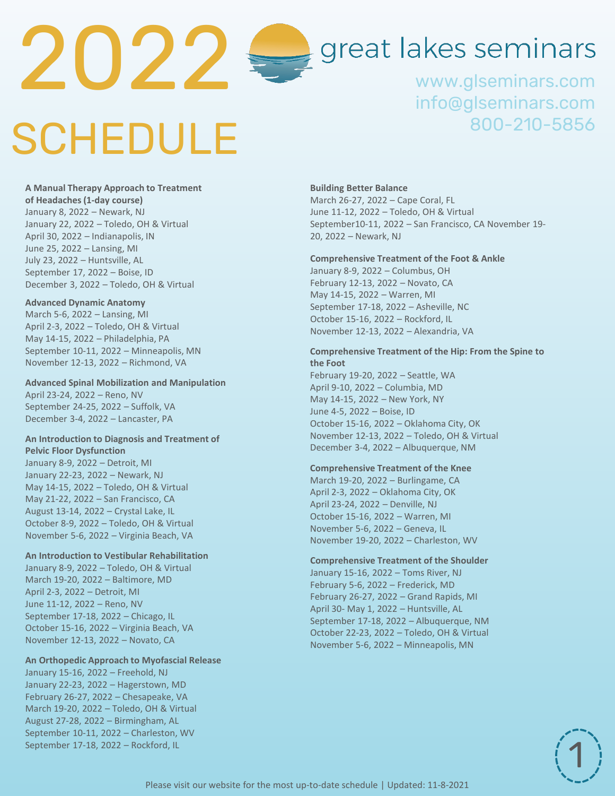

# great lakes seminars

www.glseminars.com info@glseminars.com 800-210-5856

# SCHEDULE

2022

**A Manual Therapy Approach to Treatment of Headaches (1-day course)** January 8, 2022 – Newark, NJ January 22, 2022 – Toledo, OH & Virtual April 30, 2022 – Indianapolis, IN June 25, 2022 – Lansing, MI July 16, 2022 – Huntsville, AL September 17, 2022 – Boise, ID December 3, 2022 – Toledo, OH & Virtual

### **Advanced Dynamic Anatomy**

March 5-6, 2022 – Lansing, MI April 2-3, 2022 – Toledo, OH & Virtual May 14-15, 2022 – Philadelphia, PA September 10-11, 2022 – Minneapolis, MN November 12-13, 2022 – Richmond, VA

### **Advanced Spinal Mobilization and Manipulation**

April 23-24, 2022 – Reno, NV September 24-25, 2022 – Suffolk, VA December 3-4, 2022 – Lancaster, PA

### **An Introduction to Diagnosis and Treatment of Pelvic Floor Dysfunction**

May 14-15, 2022 – Toledo, OH & Virtual May 21-22, 2022 – San Francisco, CA August 13-14, 2022 – Crystal Lake, IL October 8-9, 2022 – Toledo, OH & Virtual November 5-6, 2022 – Virginia Beach, VA

#### **An Introduction to Vestibular Rehabilitation**

January 8-9, 2022 – Toledo, OH & Virtual March 19-20, 2022 – 8  $"$ , MD April 2-3, 2022 –  $\#$  , MI September 17-18, 2022 – U  $\blacksquare$ , IL October 15-16, 2022 – Virginia Beach, VA November 12-13, 2022 – Novato, CA

### **An Orthopedic Approach to Myofascial Release**

January 15-16, 2022 – Freehold, NJ January 22-23, 2022 – Hagerstown, MD February 26-27, 2022 – Chesapeake, VA March 19-20, 2022 – Toledo, OH & Virtual August 27-28, 2022 – Birmingham, AL September 10-11, 2022 – Charleston, WV

<u>ddpielom</u> d**ed fe** d &  $\overline{\phantom{a}}$ :µvíríîU îìtd}o}UK,˜s]Œšµ-o <u>e ed ers op p</u> E**ried reiau** e: ?

### **Comprehensive Treatment of the Foot & Ankle**

January 8-9, 2022 – Columbus, OH February 12-13, 2022 – Novato, CA May 14-15, 2022 – Warren, MI September 17-18, 2022 – Asheville, NC October 15-16, 2022 – Rockford, IL November 12-13, 2022 – Alexandria, VA December 10-11, 2022 – Toledo, OH & Virtual

### **Comprehensive Treatment of the Hip: From the Spine to the Foot**

February 19-20, 2022 – Lynnwood, WA April 9-10, 2022 – Columbia, MD May 14-15, 2022 – New York, NY June 4-5, 2022 – Boise, ID October 15-16, 2022 – Oklahoma City, OK November 12-13, 2022 – Toledo, OH & Virtual December 3-4, 2022 – Albuquerque, NM

### **Comprehensive Treatment of the Knee**

March 19-20, 2022 – Burlingame, CA April 2-3, 2022 – Oklahoma City, OK April 23-24, 2022 – Denville, NJ May 21-22, 2022 – Portland, OR October 15-16, 2022 – Warren, MI November 5-6, 2022 – Geneva, IL November 19-20, 2022 – Charleston, WV

**Comprehensive Treatment of the Shoulder** January 15-16, 2022 – Toms River, NJ February 5-6, 2022 – Frederick, MD February 26-27, 2022 – Grand Rapids, MI April 30- May 1, 2022 – Huntsville, AL September 17-18, 2022 – Albuquerque, NM October 22-23, 2022 – Toledo, OH & Virtual November 5-6, 2022 – Minneapolis, MN